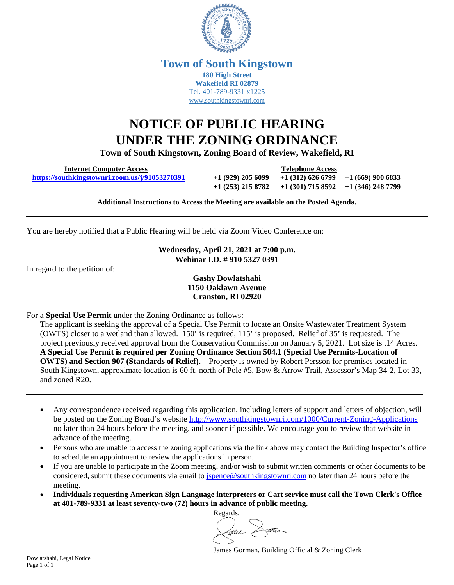

## **Town of South Kingstown 180 High Street Wakefield RI 02879** Tel. 401-789-9331 x1225 [www.southkingstownri.com](http://www.southkingstownri.com/)

## **NOTICE OF PUBLIC HEARING UNDER THE ZONING ORDINANCE**

**Town of South Kingstown, Zoning Board of Review, Wakefield, RI** 

 **Internet Computer Access Telephone Access <https://southkingstownri.zoom.us/j/91053270391>**+**1 (929) 205 6099 +1 (312) 626 6799 +1 (669) 900 6833**

**+1 (253) 215 8782 +1 (301) 715 8592 +1 (346) 248 7799** 

**Additional Instructions to Access the Meeting are available on the Posted Agenda.** 

You are hereby notified that a Public Hearing will be held via Zoom Video Conference on:

**Wednesday, April 21, 2021 at 7:00 p.m. Webinar I.D. # 910 5327 0391** 

In regard to the petition of:

## **Gashy Dowlatshahi 1150 Oaklawn Avenue Cranston, RI 02920**

For a **Special Use Permit** under the Zoning Ordinance as follows:

The applicant is seeking the approval of a Special Use Permit to locate an Onsite Wastewater Treatment System (OWTS) closer to a wetland than allowed. 150' is required, 115' is proposed. Relief of 35' is requested. The project previously received approval from the Conservation Commission on January 5, 2021. Lot size is .14 Acres. **A Special Use Permit is required per Zoning Ordinance Section 504.1 (Special Use Permits-Location of OWTS) and Section 907 (Standards of Relief).** Property is owned by Robert Persson for premises located in South Kingstown, approximate location is 60 ft. north of Pole #5, Bow & Arrow Trail, Assessor's Map 34-2, Lot 33, and zoned R20.

- Any correspondence received regarding this application, including letters of support and letters of objection, will be posted on the Zoning Board's website<http://www.southkingstownri.com/1000/Current-Zoning-Applications> no later than 24 hours before the meeting, and sooner if possible. We encourage you to review that website in advance of the meeting.
- Persons who are unable to access the zoning applications via the link above may contact the Building Inspector's office to schedule an appointment to review the applications in person.
- If you are unable to participate in the Zoom meeting, and/or wish to submit written comments or other documents to be considered, submit these documents via email to [jspence@southkingstownri.com](mailto:jspence@southkingstownri.com) no later than 24 hours before the meeting.
- **Individuals requesting American Sign Language interpreters or Cart service must call the Town Clerk's Office at 401-789-9331 at least seventy-two (72) hours in advance of public meeting.**

Regards, nu Dann

James Gorman, Building Official & Zoning Clerk